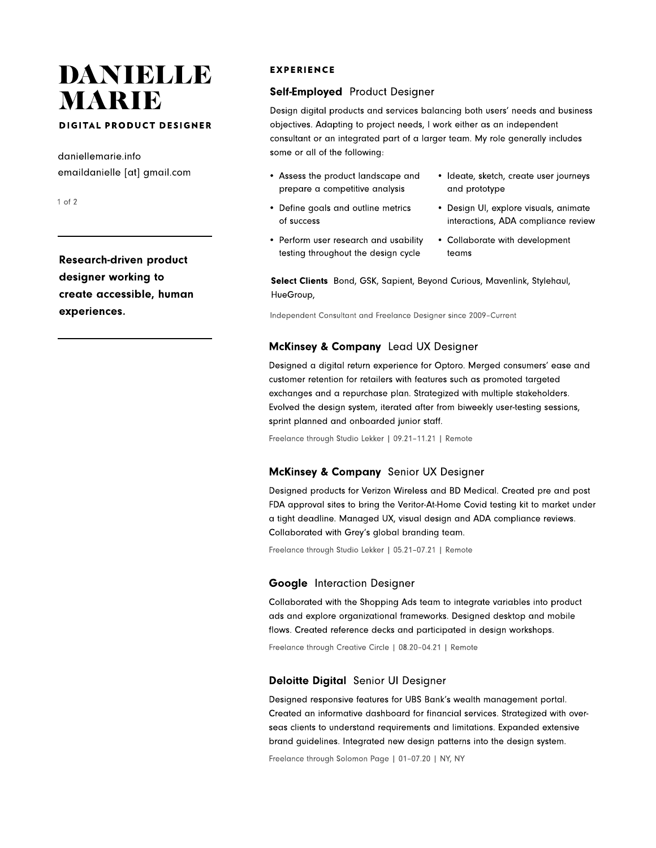# DANIELLE MARIE

# DIGITAL PRODUCT DESIGNER<br>.

daniellemarie.info emaildanielle [at] gmail.com

1 of 2

Research-driven product designer working to create accessible, human experiences.

# EXPERIENCE

# Self-Employed Product Designer

Design digital products and services balancing both users' needs and business objectives. Adapting to project needs, I work either as an independent consultant or an integrated part of a larger team. My role generally includes some or all of the following:

- Assess the product landscape and prepare a competitive analysi
- Define goals and outline metrics of succes
- Perform user research and usability testing throughout the design cycle
- Ideate, sketch, create user journeys and prototype
- Design UI, explore visuals, animate interactions, ADA compliance review
- Collaborate with development teams

Select Clients Bond, GSK, Sapient, Beyond Curious, Mavenlink, Stylehaul, HueGroup,

Independent Consultant and Freelance Designer since 2009–Current

# McKinsey & Company Lead UX Designer

Designed a digital return experience for Optoro. Merged consumers' ease and customer retention for retailers with features such as promoted targeted exchanges and a repurchase plan. Strategized with multiple stakeholders. Evolved the design system, iterated after from biweekly user-testing sessions, sprint planned and onboarded junior staff.

Freelance through Studio Lekker | 09.21–11.21 | Remote

## McKinsey & Company Senior UX Designer

Designed products for Verizon Wireless and BD Medical. Created pre and post FDA approval sites to bring the Veritor-At-Home Covid testing kit to market under a tight deadline. Managed UX, visual design and ADA compliance reviews. Collaborated with Grey's global branding team.

Freelance through Studio Lekker | 05.21–07.21 | Remote

## Google Interaction Designer

Collaborated with the Shopping Ads team to integrate variables into product ads and explore organizational frameworks. Designed desktop and mobile flows. Created reference decks and participated in design workshops.

Freelance through Creative Circle | 08.20–04.21 | Remote

## Deloitte Digital Senior UI Designer

Designed responsive features for UBS Bank's wealth management portal. Created an informative dashboard for financial services. Strategized with overseas clients to understand requirements and limitations. Expanded extensive brand guidelines. Integrated new design patterns into the design system.

Freelance through Solomon Page | 01–07.20 | NY, NY